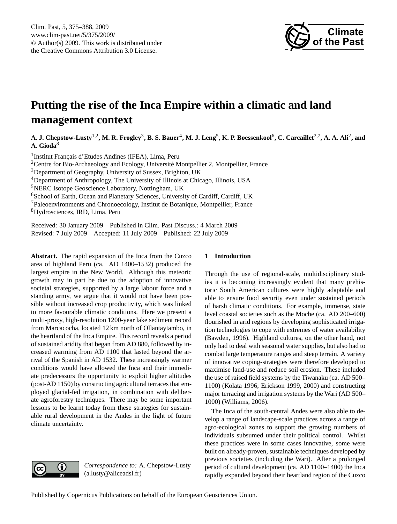

# <span id="page-0-0"></span>**Putting the rise of the Inca Empire within a climatic and land management context**

A. J. Chepstow-Lusty<sup>1,2</sup>, M. R. Frogley<sup>3</sup>, B. S. Bauer<sup>4</sup>, M. J. Leng<sup>5</sup>, K. P. Boessenkool<sup>6</sup>, C. Carcaillet<sup>2,7</sup>, A. A. Ali<sup>2</sup>, and **A. Gioda**<sup>8</sup>

<sup>1</sup> Institut Français d'Etudes Andines (IFEA), Lima, Peru <sup>2</sup>Centre for Bio-Archaeology and Ecology, Université Montpellier 2, Montpellier, France Department of Geography, University of Sussex, Brighton, UK Department of Anthropology, The University of Illinois at Chicago, Illinois, USA NERC Isotope Geoscience Laboratory, Nottingham, UK <sup>6</sup>School of Earth, Ocean and Planetary Sciences, University of Cardiff, Cardiff, UK Paleoenvironments and Chronoecology, Institut de Botanique, Montpellier, France Hydrosciences, IRD, Lima, Peru

Received: 30 January 2009 – Published in Clim. Past Discuss.: 4 March 2009 Revised: 7 July 2009 – Accepted: 11 July 2009 – Published: 22 July 2009

**Abstract.** The rapid expansion of the Inca from the Cuzco area of highland Peru (ca. AD 1400–1532) produced the largest empire in the New World. Although this meteoric growth may in part be due to the adoption of innovative societal strategies, supported by a large labour force and a standing army, we argue that it would not have been possible without increased crop productivity, which was linked to more favourable climatic conditions. Here we present a multi-proxy, high-resolution 1200-year lake sediment record from Marcacocha, located 12 km north of Ollantaytambo, in the heartland of the Inca Empire. This record reveals a period of sustained aridity that began from AD 880, followed by increased warming from AD 1100 that lasted beyond the arrival of the Spanish in AD 1532. These increasingly warmer conditions would have allowed the Inca and their immediate predecessors the opportunity to exploit higher altitudes (post-AD 1150) by constructing agricultural terraces that employed glacial-fed irrigation, in combination with deliberate agroforestry techniques. There may be some important lessons to be learnt today from these strategies for sustainable rural development in the Andes in the light of future climate uncertainty.

# **1 Introduction**

Through the use of regional-scale, multidisciplinary studies it is becoming increasingly evident that many prehistoric South American cultures were highly adaptable and able to ensure food security even under sustained periods of harsh climatic conditions. For example, immense, state level coastal societies such as the Moche (ca. AD 200–600) flourished in arid regions by developing sophisticated irrigation technologies to cope with extremes of water availability (Bawden, 1996). Highland cultures, on the other hand, not only had to deal with seasonal water supplies, but also had to combat large temperature ranges and steep terrain. A variety of innovative coping-strategies were therefore developed to maximise land-use and reduce soil erosion. These included the use of raised field systems by the Tiwanaku (ca. AD 500– 1100) (Kolata 1996; Erickson 1999, 2000) and constructing major terracing and irrigation systems by the Wari (AD 500– 1000) (Williams, 2006).

The Inca of the south-central Andes were also able to develop a range of landscape-scale practices across a range of agro-ecological zones to support the growing numbers of individuals subsumed under their political control. Whilst these practices were in some cases innovative, some were built on already-proven, sustainable techniques developed by previous societies (including the Wari). After a prolonged period of cultural development (ca. AD 1100–1400) the Inca rapidly expanded beyond their heartland region of the Cuzco



*Correspondence to:* A. Chepstow-Lusty (a.lusty@aliceadsl.fr)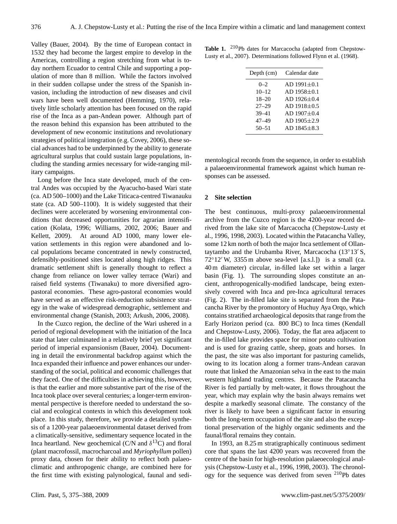Valley (Bauer, 2004). By the time of European contact in 1532 they had become the largest empire to develop in the Americas, controlling a region stretching from what is today northern Ecuador to central Chile and supporting a population of more than 8 million. While the factors involved in their sudden collapse under the stress of the Spanish invasion, including the introduction of new diseases and civil wars have been well documented (Hemming, 1970), relatively little scholarly attention has been focused on the rapid rise of the Inca as a pan-Andean power. Although part of the reason behind this expansion has been attributed to the development of new economic institutions and revolutionary strategies of political integration (e.g. Covey, 2006), these social advances had to be underpinned by the ability to generate agricultural surplus that could sustain large populations, including the standing armies necessary for wide-ranging military campaigns.

Long before the Inca state developed, much of the central Andes was occupied by the Ayacucho-based Wari state (ca. AD 500–1000) and the Lake Titicaca-centred Tiwanauku state (ca. AD 500–1100). It is widely suggested that their declines were accelerated by worsening environmental conditions that decreased opportunities for agrarian intensification (Kolata, 1996; Williams, 2002, 2006; Bauer and Kellett, 2009). At around AD 1000, many lower elevation settlements in this region were abandoned and local populations became concentrated in newly constructed, defensibly-positioned sites located along high ridges. This dramatic settlement shift is generally thought to reflect a change from reliance on lower valley terrace (Wari) and raised field systems (Tiwanaku) to more diversified agropastoral economies. These agro-pastoral economies would have served as an effective risk-reduction subsistence strategy in the wake of widespread demographic, settlement and environmental change (Stanish, 2003; Arkush, 2006, 2008).

In the Cuzco region, the decline of the Wari ushered in a period of regional development with the initiation of the Inca state that later culminated in a relatively brief yet significant period of imperial expansionism (Bauer, 2004). Documenting in detail the environmental backdrop against which the Inca expanded their influence and power enhances our understanding of the social, political and economic challenges that they faced. One of the difficulties in achieving this, however, is that the earlier and more substantive part of the rise of the Inca took place over several centuries; a longer-term environmental perspective is therefore needed to understand the social and ecological contexts in which this development took place. In this study, therefore, we provide a detailed synthesis of a 1200-year palaeoenvironmental dataset derived from a climatically-sensitive, sedimentary sequence located in the Inca heartland. New geochemical (C/N and  $\delta^{13}$ C) and floral (plant macrofossil, macrocharcoal and *Myriophyllum* pollen) proxy data, chosen for their ability to reflect both palaeoclimatic and anthropogenic change, are combined here for the first time with existing palynological, faunal and sedi-

Table 1. <sup>210</sup>Pb dates for Marcacocha (adapted from Chepstow-Lusty et al., 2007). Determinations followed Flynn et al. (1968).

| Depth (cm) | Calendar date       |
|------------|---------------------|
| $0 - 2$    | $AD$ 1991 $\pm$ 0.1 |
| $10 - 12$  | $AD$ 1958 $\pm$ 0.1 |
| $18 - 20$  | $AD$ 1926 $\pm$ 0.4 |
| $27 - 29$  | $AD$ 1918 $\pm$ 0.5 |
| $39 - 41$  | $AD$ 1907 $\pm$ 0.4 |
| 47–49      | $AD$ 1905 $\pm$ 2.9 |
| $50 - 51$  | $AD1845 + 8.3$      |
|            |                     |

mentological records from the sequence, in order to establish a palaeoenvironmental framework against which human responses can be assessed.

#### **2 Site selection**

The best continuous, multi-proxy palaeoenvironmental archive from the Cuzco region is the 4200-year record derived from the lake site of Marcacocha (Chepstow-Lusty et al., 1996, 1998, 2003). Located within the Patacancha Valley, some 12 km north of both the major Inca settlement of Ollantaytambo and the Urubamba River, Marcacocha  $(13^{\circ}13' S,$  $72^{\circ}12'$  W, 3355 m above sea-level [a.s.l.]) is a small (ca. 40 m diameter) circular, in-filled lake set within a larger basin (Fig. 1). The surrounding slopes constitute an ancient, anthropogenically-modified landscape, being extensively covered with Inca and pre-Inca agricultural terraces (Fig. 2). The in-filled lake site is separated from the Patacancha River by the promontory of Huchuy Aya Orqo, which contains stratified archaeological deposits that range from the Early Horizon period (ca. 800 BC) to Inca times (Kendall and Chepstow-Lusty, 2006). Today, the flat area adjacent to the in-filled lake provides space for minor potato cultivation and is used for grazing cattle, sheep, goats and horses. In the past, the site was also important for pasturing camelids, owing to its location along a former trans-Andean caravan route that linked the Amazonian selva in the east to the main western highland trading centres. Because the Patacancha River is fed partially by melt-water, it flows throughout the year, which may explain why the basin always remains wet despite a markedly seasonal climate. The constancy of the river is likely to have been a significant factor in ensuring both the long-term occupation of the site and also the exceptional preservation of the highly organic sediments and the faunal/floral remains they contain.

In 1993, an 8.25 m stratigraphically continuous sediment core that spans the last 4200 years was recovered from the centre of the basin for high-resolution palaeoecological analysis (Chepstow-Lusty et al., 1996, 1998, 2003). The chronology for the sequence was derived from seven  $210Pb$  dates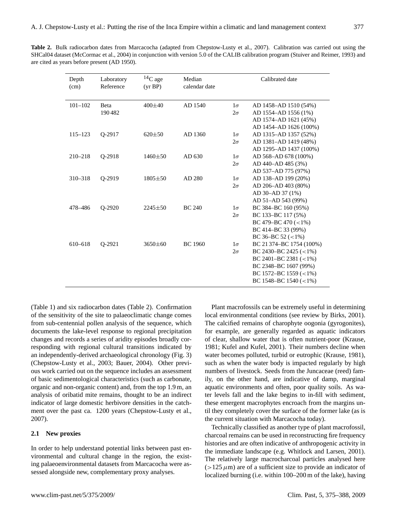| <b>Table 2.</b> Bulk radiocarbon dates from Marcacocha (adapted from Chepstow-Lusty et al., 2007). Calibration was carried out using the |  |  |  |  |
|------------------------------------------------------------------------------------------------------------------------------------------|--|--|--|--|
| SHCal04 dataset (McCormac et al., 2004) in conjunction with version 5.0 of the CALIB calibration program (Stuiver and Reimer, 1993) and  |  |  |  |  |
| are cited as years before present (AD 1950).                                                                                             |  |  |  |  |

| Depth<br>(cm) | Laboratory<br>Reference | $14C$ age<br>(yr BP) | Median<br>calendar date |                        | Calibrated date                                                                                                                                                                           |
|---------------|-------------------------|----------------------|-------------------------|------------------------|-------------------------------------------------------------------------------------------------------------------------------------------------------------------------------------------|
| $101 - 102$   | Beta<br>190482          | $400\pm40$           | AD 1540                 | $1\sigma$<br>$2\sigma$ | AD 1458-AD 1510 (54%)<br>AD 1554-AD 1556 (1%)<br>AD 1574-AD 1621 (45%)<br>AD 1454-AD 1626 (100%)                                                                                          |
| $115 - 123$   | 0-2917                  | $620 \pm 50$         | AD 1360                 | $1\sigma$<br>$2\sigma$ | AD 1315-AD 1357 (52%)<br>AD 1381-AD 1419 (48%)<br>AD 1295-AD 1437 (100%)                                                                                                                  |
| $210 - 218$   | Q-2918                  | $1460 \pm 50$        | AD 630                  | $1\sigma$<br>$2\sigma$ | AD 568-AD 678 (100%)<br>AD 440-AD 485 (3%)<br>AD 537-AD 775 (97%)                                                                                                                         |
| 310-318       | O-2919                  | $1805 \pm 50$        | AD 280                  | $1\sigma$<br>$2\sigma$ | AD 138-AD 199 (20%)<br>AD 206-AD 403 (80%)<br>AD 30-AD 37 (1%)                                                                                                                            |
| 478-486       | O-2920                  | $2245 \pm 50$        | <b>BC 240</b>           | $1\sigma$<br>$2\sigma$ | AD 51-AD 543 (99%)<br>BC 384-BC 160 (95%)<br>BC 133-BC 117 (5%)<br>BC 479-BC 470 $(< 1\%)$<br>BC 414-BC 33 (99%)                                                                          |
| 610-618       | 0-2921                  | $3650\pm 60$         | <b>BC</b> 1960          | $1\sigma$<br>$2\sigma$ | BC 36-BC 52 $(<1\%)$<br>BC 21374-BC 1754 (100%)<br>BC 2430-BC 2425 $(<1\%)$<br>BC 2401-BC 2381 $(< 1\%)$<br>BC 2348-BC 1607 (99%)<br>BC 1572-BC 1559 $(<1\%)$<br>BC 1548-BC 1540 $(<1\%)$ |

(Table 1) and six radiocarbon dates (Table 2). Confirmation of the sensitivity of the site to palaeoclimatic change comes from sub-centennial pollen analysis of the sequence, which documents the lake-level response to regional precipitation changes and records a series of aridity episodes broadly corresponding with regional cultural transitions indicated by an independently-derived archaeological chronology (Fig. 3) (Chepstow-Lusty et al., 2003; Bauer, 2004). Other previous work carried out on the sequence includes an assessment of basic sedimentological characteristics (such as carbonate, organic and non-organic content) and, from the top 1.9 m, an analysis of oribatid mite remains, thought to be an indirect indicator of large domestic herbivore densities in the catchment over the past ca. 1200 years (Chepstow-Lusty et al., 2007).

## **2.1 New proxies**

In order to help understand potential links between past environmental and cultural change in the region, the existing palaeoenvironmental datasets from Marcacocha were assessed alongside new, complementary proxy analyses.

Plant macrofossils can be extremely useful in determining local environmental conditions (see review by Birks, 2001). The calcified remains of charophyte oogonia (gyrogonites), for example, are generally regarded as aquatic indicators of clear, shallow water that is often nutrient-poor (Krause, 1981; Kufel and Kufel, 2001). Their numbers decline when water becomes polluted, turbid or eutrophic (Krause, 1981), such as when the water body is impacted regularly by high numbers of livestock. Seeds from the Juncaceae (reed) family, on the other hand, are indicative of damp, marginal aquatic environments and often, poor quality soils. As water levels fall and the lake begins to in-fill with sediment, these emergent macrophytes encroach from the margins until they completely cover the surface of the former lake (as is the current situation with Marcacocha today).

Technically classified as another type of plant macrofossil, charcoal remains can be used in reconstructing fire frequency histories and are often indicative of anthropogenic activity in the immediate landscape (e.g. Whitlock and Larsen, 2001). The relatively large macrocharcoal particles analysed here  $(>125 \mu m)$  are of a sufficient size to provide an indicator of localized burning (i.e. within 100–200 m of the lake), having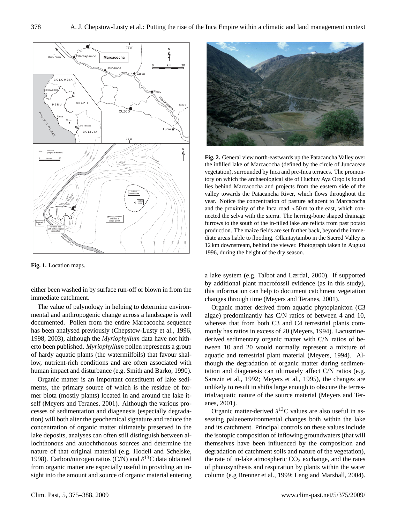

**Fig. 1.** Location maps.

either been washed in by surface run-off or blown in from the immediate catchment.

The value of palynology in helping to determine environmental and anthropogenic change across a landscape is well documented. Pollen from the entire Marcacocha sequence has been analysed previously (Chepstow-Lusty et al., 1996, 1998, 2003), although the *Myriophyllum* data have not hitherto been published. *Myriophyllum* pollen represents a group of hardy aquatic plants (the watermilfoils) that favour shallow, nutrient-rich conditions and are often associated with human impact and disturbance (e.g. Smith and Barko, 1990).

Organic matter is an important constituent of lake sediments, the primary source of which is the residue of former biota (mostly plants) located in and around the lake itself (Meyers and Teranes, 2001). Although the various processes of sedimentation and diagenesis (especially degradation) will both alter the geochemical signature and reduce the concentration of organic matter ultimately preserved in the lake deposits, analyses can often still distinguish between allochthonous and autochthonous sources and determine the nature of that original material (e.g. Hodell and Schelske, 1998). Carbon/nitrogen ratios (C/N) and  $\delta^{13}$ C data obtained from organic matter are especially useful in providing an insight into the amount and source of organic material entering



**Fig. 2.** General view north-eastwards up the Patacancha Valley over the infilled lake of Marcacocha (defined by the circle of Juncaceae vegetation), surrounded by Inca and pre-Inca terraces. The promontory on which the archaeological site of Huchuy Aya Orqo is found lies behind Marcacocha and projects from the eastern side of the valley towards the Patacancha River, which flows throughout the year. Notice the concentration of pasture adjacent to Marcacocha and the proximity of the Inca road <50 m to the east, which connected the selva with the sierra. The herring-bone shaped drainage furrows to the south of the in-filled lake are relicts from past potato production. The maize fields are set further back, beyond the immediate areas liable to flooding. Ollantaytambo in the Sacred Valley is 12 km downstream, behind the viewer. Photograph taken in August 1996, during the height of the dry season.

a lake system (e.g. Talbot and Lærdal, 2000). If supported by additional plant macrofossil evidence (as in this study), this information can help to document catchment vegetation changes through time (Meyers and Teranes, 2001).

Organic matter derived from aquatic phytoplankton (C3 algae) predominantly has C/N ratios of between 4 and 10, whereas that from both C3 and C4 terrestrial plants commonly has ratios in excess of 20 (Meyers, 1994). Lacustrinederived sedimentary organic matter with C/N ratios of between 10 and 20 would normally represent a mixture of aquatic and terrestrial plant material (Meyers, 1994). Although the degradation of organic matter during sedimentation and diagenesis can ultimately affect C/N ratios (e.g. Sarazin et al., 1992; Meyers et al., 1995), the changes are unlikely to result in shifts large enough to obscure the terrestrial/aquatic nature of the source material (Meyers and Teranes, 2001).

Organic matter-derived  $\delta^{13}$ C values are also useful in assessing palaeoenvironmental changes both within the lake and its catchment. Principal controls on these values include the isotopic composition of inflowing groundwaters (that will themselves have been influenced by the composition and degradation of catchment soils and nature of the vegetation), the rate of in-lake atmospheric  $CO<sub>2</sub>$  exchange, and the rates of photosynthesis and respiration by plants within the water column (e.g Brenner et al., 1999; Leng and Marshall, 2004).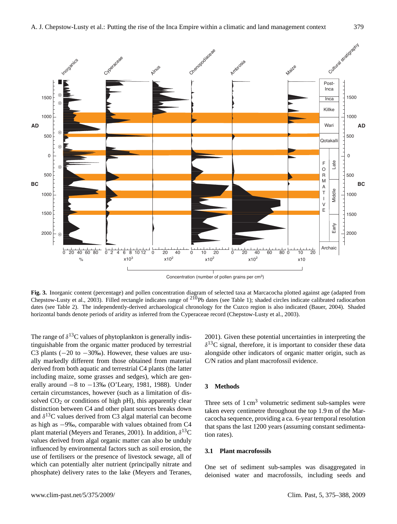

Concentration (number of pollen grains per cm3)

**Fig. 3.** Inorganic content (percentage) and pollen concentration diagram of selected taxa at Marcacocha plotted against age (adapted from Chepstow-Lusty et al., 2003). Filled rectangle indicates range of <sup>210</sup>Pb dates (see Table 1); shaded circles indicate calibrated radiocarbon dates (see Table 2). The independently-derived archaeological chronology for the Cuzco region is also indicated (Bauer, 2004). Shaded horizontal bands denote periods of aridity as inferred from the Cyperaceae record (Chepstow-Lusty et al., 2003).

The range of  $\delta^{13}$ C values of phytoplankton is generally indistinguishable from the organic matter produced by terrestrial C3 plants  $(-20 \text{ to } -30\%)$ . However, these values are usually markedly different from those obtained from material derived from both aquatic and terrestrial C4 plants (the latter including maize, some grasses and sedges), which are generally around  $-8$  to  $-13%$  (O'Leary, 1981, 1988). Under certain circumstances, however (such as a limitation of dissolved  $CO<sub>2</sub>$  or conditions of high pH), this apparently clear distinction between C4 and other plant sources breaks down and  $\delta^{13}$ C values derived from C3 algal material can become as high as −9‰, comparable with values obtained from C4 plant material (Meyers and Teranes, 2001). In addition,  $\delta^{13}C$ values derived from algal organic matter can also be unduly influenced by environmental factors such as soil erosion, the use of fertilisers or the presence of livestock sewage, all of which can potentially alter nutrient (principally nitrate and phosphate) delivery rates to the lake (Meyers and Teranes, 2001). Given these potential uncertainties in interpreting the  $\delta^{13}$ C signal, therefore, it is important to consider these data alongside other indicators of organic matter origin, such as C/N ratios and plant macrofossil evidence.

## **3 Methods**

Three sets of  $1 \text{ cm}^3$  volumetric sediment sub-samples were taken every centimetre throughout the top 1.9 m of the Marcacocha sequence, providing a ca. 6-year temporal resolution that spans the last 1200 years (assuming constant sedimentation rates).

### **3.1 Plant macrofossils**

One set of sediment sub-samples was disaggregated in deionised water and macrofossils, including seeds and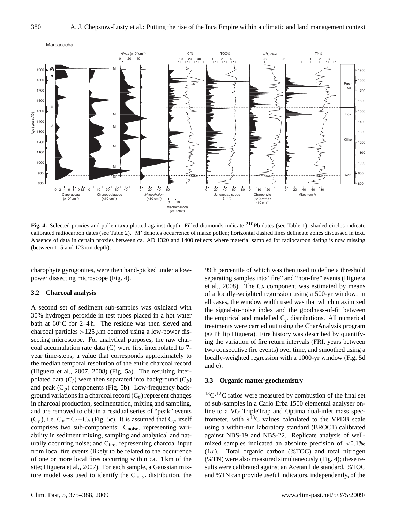

Fig. 4. Selected proxies and pollen taxa plotted against depth. Filled diamonds indicate <sup>210</sup>Pb dates (see Table 1); shaded circles indicate calibrated radiocarbon dates (see Table 2). 'M' denotes occurrence of maize pollen; horizontal dashed lines delineate zones discussed in text. Absence of data in certain proxies between ca. AD 1320 and 1400 reflects where material sampled for radiocarbon dating is now missing (between 115 and 123 cm depth).

charophyte gyrogonites, were then hand-picked under a lowpower dissecting microscope (Fig. 4).

#### **3.2 Charcoal analysis**

A second set of sediment sub-samples was oxidized with 30% hydrogen peroxide in test tubes placed in a hot water bath at 60◦C for 2–4 h. The residue was then sieved and charcoal particles  $>125 \mu$ m counted using a low-power dissecting microscope. For analytical purposes, the raw charcoal accumulation rate data (C) were first interpolated to 7 year time-steps, a value that corresponds approximately to the median temporal resolution of the entire charcoal record (Higuera et al., 2007, 2008) (Fig. 5a). The resulting interpolated data  $(C_i)$  were then separated into background  $(C_b)$ and peak  $(C_p)$  components (Fig. 5b). Low-frequency background variations in a charcoal record  $(C_b)$  represent changes in charcoal production, sedimentation, mixing and sampling, and are removed to obtain a residual series of "peak" events  $(C_p)$ , i.e.  $C_p = C_i - C_b$  (Fig. 5c). It is assumed that  $C_p$  itself comprises two sub-components: C<sub>noise</sub>, representing variability in sediment mixing, sampling and analytical and naturally occurring noise; and  $C<sub>fire</sub>$ , representing charcoal input from local fire events (likely to be related to the occurrence of one or more local fires occurring within ca. 1 km of the site; Higuera et al., 2007). For each sample, a Gaussian mixture model was used to identify the C<sub>noise</sub> distribution, the

99th percentile of which was then used to define a threshold separating samples into "fire" and "non-fire" events (Higuera et al., 2008). The  $C_b$  component was estimated by means of a locally-weighted regression using a 500-yr window; in all cases, the window width used was that which maximized the signal-to-noise index and the goodness-of-fit between the empirical and modelled  $C_p$  distributions. All numerical treatments were carried out using the CharAnalysis program (© Philip Higuera). Fire history was described by quantifying the variation of fire return intervals (FRI, years between two consecutive fire events) over time, and smoothed using a locally-weighted regression with a 1000-yr window (Fig. 5d and e).

## **3.3 Organic matter geochemistry**

 $13\text{C}/12\text{C}$  ratios were measured by combustion of the final set of sub-samples in a Carlo Erba 1500 elemental analyser online to a VG TripleTrap and Optima dual-inlet mass spectrometer, with  $\delta^{13}$ C values calculated to the VPDB scale using a within-run laboratory standard (BROC1) calibrated against NBS-19 and NBS-22. Replicate analysis of wellmixed samples indicated an absolute precision of  $\langle 0.1 \rangle$ % ( $1\sigma$ ). Total organic carbon (%TOC) and total nitrogen (%TN) were also measured simultaneously (Fig. 4); these results were calibrated against an Acetanilide standard. %TOC and %TN can provide useful indicators, independently, of the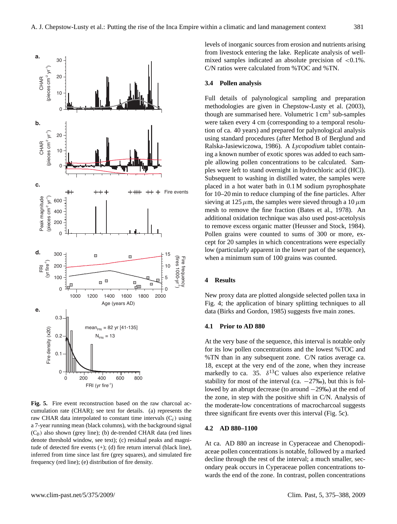

inferred from time since last fire (grey squares), and simulated fire **Fig. 5.** Fire event reconstruction based on the raw charcoal accumulation rate (CHAR); see text for details. (a) represents the raw CHAR data interpolated to constant time intervals  $(C_i)$  using a 7-year running mean (black columns), with the background signal  $(C_h)$  also shown (grey line); (b) de-trended CHAR data (red lines denote threshold window, see text); (c) residual peaks and magnitude of detected fire events  $(+)$ ; (d) fire return interval (black line), frequency (red line); (e) distribution of fire density.

levels of inorganic sources from erosion and nutrients arising from livestock entering the lake. Replicate analysis of wellmixed samples indicated an absolute precision of  $\langle 0.1\% \rangle$ . C/N ratios were calculated from %TOC and %TN.

#### **3.4 Pollen analysis**

Full details of palynological sampling and preparation methodologies are given in Chepstow-Lusty et al. (2003), though are summarised here. Volumetric  $1 \text{ cm}^3$  sub-samples were taken every 4 cm (corresponding to a temporal resolution of ca. 40 years) and prepared for palynological analysis using standard procedures (after Method B of Berglund and Ralska-Jasiewiczowa, 1986). A *Lycopodium* tablet containing a known number of exotic spores was added to each sample allowing pollen concentrations to be calculated. Samples were left to stand overnight in hydrochloric acid (HCl). Subsequent to washing in distilled water, the samples were placed in a hot water bath in 0.1 M sodium pyrophosphate for 10–20 min to reduce clumping of the fine particles. After sieving at 125  $\mu$ m, the samples were sieved through a 10  $\mu$ m mesh to remove the fine fraction (Bates et al., 1978). An additional oxidation technique was also used post-acetolysis to remove excess organic matter (Heusser and Stock, 1984). Pollen grains were counted to sums of 300 or more, except for 20 samples in which concentrations were especially low (particularly apparent in the lower part of the sequence), when a minimum sum of 100 grains was counted.

## **4 Results**

New proxy data are plotted alongside selected pollen taxa in Fig. 4; the application of binary splitting techniques to all data (Birks and Gordon, 1985) suggests five main zones.

## **4.1 Prior to AD 880**

At the very base of the sequence, this interval is notable only for its low pollen concentrations and the lowest %TOC and %TN than in any subsequent zone. C/N ratios average ca. 18, except at the very end of the zone, when they increase markedly to ca. 35.  $\delta^{13}$ C values also experience relative stability for most of the interval (ca.  $-27\%$ ), but this is followed by an abrupt decrease (to around −29‰) at the end of the zone, in step with the positive shift in C/N. Analysis of the moderate-low concentrations of macrocharcoal suggests three significant fire events over this interval (Fig. 5c).

## **4.2 AD 880–1100**

At ca. AD 880 an increase in Cyperaceae and Chenopodiaceae pollen concentrations is notable, followed by a marked decline through the rest of the interval; a much smaller, secondary peak occurs in Cyperaceae pollen concentrations towards the end of the zone. In contrast, pollen concentrations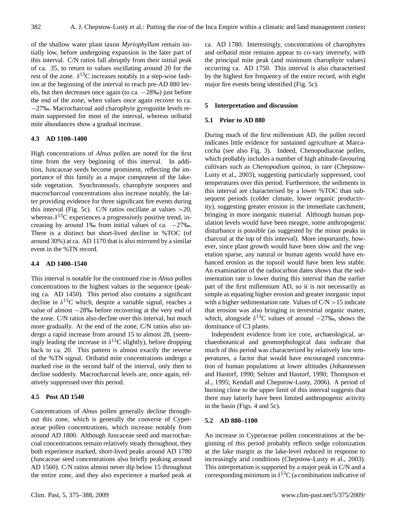of the shallow water plant taxon *Myriophyllum* remain initially low, before undergoing expansion in the later part of this interval. C/N ratios fall abruptly from their initial peak of ca. 35, to return to values oscillating around 20 for the rest of the zone.  $\delta^{13}$ C increases notably in a step-wise fashion at the beginning of the interval to reach pre-AD 880 levels, but then decreases once again (to ca. −28‰) just before the end of the zone, when values once again recover to ca. −27‰. Macrocharcoal and charophyte gyrogonite levels remain suppressed for most of the interval, whereas oribatid mite abundances show a gradual increase.

#### **4.3 AD 1100–1400**

High concentrations of *Alnus* pollen are noted for the first time from the very beginning of this interval. In addition, Juncaceae seeds become prominent, reflecting the importance of this family as a major component of the lakeside vegetation. Synchronously, charophyte oospores and macrocharcoal concentrations also increase notably, the latter providing evidence for three significant fire events during this interval (Fig. 5c). C/N ratios oscillate at values  $>20$ , whereas  $\delta^{13}$ C experiences a progressively positive trend, increasing by around 1‰ from initial values of ca.  $-27$ ‰. There is a distinct but short-lived decline in %TOC (of around 30%) at ca. AD 1170 that is also mirrored by a similar event in the %TN record.

#### **4.4 AD 1400–1540**

This interval is notable for the continued rise in *Alnus* pollen concentrations to the highest values in the sequence (peaking ca. AD 1450). This period also contains a significant decline in  $\delta^{13}$ C which, despite a variable signal, reaches a value of almost −28‰ before recovering at the very end of the zone. C/N ratios also decline over this interval, but much more gradually. At the end of the zone, C/N ratios also undergo a rapid increase from around 15 to almost 28, (seemingly leading the increase in  $\delta^{13}$ C slightly), before dropping back to ca. 20. This pattern is almost exactly the reverse of the %TN signal. Oribatid mite concentrations undergo a marked rise in the second half of the interval, only then to decline suddenly. Macrocharcoal levels are, once again, relatively suppressed over this period.

## **4.5 Post AD 1540**

Concentrations of *Alnus* pollen generally decline throughout this zone, which is generally the converse of Cyperaceae pollen concentrations, which increase notably from around AD 1800. Although Juncaceae seed and macrocharcoal concentrations remain relatively steady throughout, they both experience marked, short-lived peaks around AD 1780 (Juncaceae seed concentrations also briefly peaking around AD 1560). C/N ratios almost never dip below 15 throughout the entire zone, and they also experience a marked peak at ca. AD 1780. Interestingly, concentrations of charophytes and oribatid mite remains appear to co-vary inversely, with the principal mite peak (and minimum charophyte values) occurring ca. AD 1750. This interval is also characterised by the highest fire frequency of the entire record, with eight major fire events being identified (Fig. 5c).

## **5 Interpretation and discussion**

#### **5.1 Prior to AD 880**

During much of the first millennium AD, the pollen record indicates little evidence for sustained agriculture at Marcacocha (see also Fig. 3). Indeed, Chenopodiaceae pollen, which probably includes a number of high altitude-favouring cultivars such as *Chenopodium quinoa*, is rare (Chepstow-Lusty et al., 2003), suggesting particularly suppressed, cool temperatures over this period. Furthermore, the sediments in this interval are characterised by a lower %TOC than subsequent periods (colder climate, lower organic productivity), suggesting greater erosion in the immediate catchment, bringing in more inorganic material. Although human population levels would have been meagre, some anthropogenic disturbance is possible (as suggested by the minor peaks in charcoal at the top of this interval). More importantly, however, since plant growth would have been slow and the vegetation sparse, any natural or human agents would have enhanced erosion as the topsoil would have been less stable. An examination of the radiocarbon dates shows that the sedimentation rate is lower during this interval than the earlier part of the first millennium AD, so it is not necessarily as simple as equating higher erosion and greater inorganic input with a higher sedimentation rate. Values of  $C/N > 15$  indicate that erosion was also bringing in terrestrial organic matter, which, alongside  $\delta^{13}$ C values of around  $-27\%$ , shows the dominance of C3 plants.

Independent evidence from ice core, archaeological, archaeobotanical and geomorphological data indicate that much of this period was characterized by relatively low temperatures, a factor that would have encouraged concentration of human populations at lower altitudes (Johannessen and Hastorf, 1990; Seltzer and Hastorf, 1990; Thompson et al., 1995; Kendall and Chepstow-Lusty, 2006). A period of burning close to the upper limit of this interval suggests that there may latterly have been limited anthropogenic activity in the basin (Figs. 4 and 5c).

#### **5.2 AD 880–1100**

An increase in Cyperaceae pollen concentrations at the beginning of this period probably reflects sedge colonization at the lake margin as the lake-level reduced in response to increasingly arid conditions (Chepstow-Lusty et al., 2003). This interpretation is supported by a major peak in C/N and a corresponding minimum in  $\delta^{13}$ C (a combination indicative of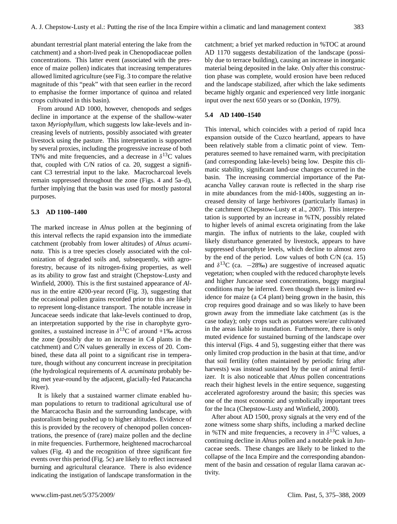abundant terrestrial plant material entering the lake from the catchment) and a short-lived peak in Chenopodiaceae pollen concentrations. This latter event (associated with the presence of maize pollen) indicates that increasing temperatures allowed limited agriculture (see Fig. 3 to compare the relative magnitude of this "peak" with that seen earlier in the record to emphasise the former importance of quinoa and related

crops cultivated in this basin). From around AD 1000, however, chenopods and sedges decline in importance at the expense of the shallow-water taxon *Myriophyllum*, which suggests low lake-levels and increasing levels of nutrients, possibly associated with greater livestock using the pasture. This interpretation is supported by several proxies, including the progressive increase of both TN% and mite frequencies, and a decrease in  $\delta^{13}$ C values that, coupled with C/N ratios of ca. 20, suggest a significant C3 terrestrial input to the lake. Macrocharcoal levels remain suppressed throughout the zone (Figs. 4 and 5a–d), further implying that the basin was used for mostly pastoral purposes.

## **5.3 AD 1100–1400**

The marked increase in *Alnus* pollen at the beginning of this interval reflects the rapid expansion into the immediate catchment (probably from lower altitudes) of *Alnus acuminata*. This is a tree species closely associated with the colonization of degraded soils and, subsequently, with agroforestry, because of its nitrogen-fixing properties, as well as its ability to grow fast and straight (Chepstow-Lusty and Winfield, 2000). This is the first sustained appearance of *Alnus* in the entire 4200-year record (Fig. 3), suggesting that the occasional pollen grains recorded prior to this are likely to represent long-distance transport. The notable increase in Juncaceae seeds indicate that lake-levels continued to drop, an interpretation supported by the rise in charophyte gyrogonites, a sustained increase in  $\delta^{13}$ C of around +1‰ across the zone (possibly due to an increase in C4 plants in the catchment) and C/N values generally in excess of 20. Combined, these data all point to a significant rise in temperature, though without any concurrent increase in precipitation (the hydrological requirements of *A. acuminata* probably being met year-round by the adjacent, glacially-fed Patacancha River).

It is likely that a sustained warmer climate enabled human populations to return to traditional agricultural use of the Marcacocha Basin and the surrounding landscape, with pastoralism being pushed up to higher altitudes. Evidence of this is provided by the recovery of chenopod pollen concentrations, the presence of (rare) maize pollen and the decline in mite frequencies. Furthermore, heightened macrocharcoal values (Fig. 4) and the recognition of three significant fire events over this period (Fig. 5c) are likely to reflect increased burning and agricultural clearance. There is also evidence indicating the instigation of landscape transformation in the catchment; a brief yet marked reduction in %TOC at around AD 1170 suggests destabilization of the landscape (possibly due to terrace building), causing an increase in inorganic material being deposited in the lake. Only after this construction phase was complete, would erosion have been reduced and the landscape stabilized, after which the lake sediments became highly organic and experienced very little inorganic input over the next 650 years or so (Donkin, 1979).

#### **5.4 AD 1400–1540**

This interval, which coincides with a period of rapid Inca expansion outside of the Cuzco heartland, appears to have been relatively stable from a climatic point of view. Temperatures seemed to have remained warm, with precipitation (and corresponding lake-levels) being low. Despite this climatic stability, significant land-use changes occurred in the basin. The increasing commercial importance of the Patacancha Valley caravan route is reflected in the sharp rise in mite abundances from the mid-1400s, suggesting an increased density of large herbivores (particularly llamas) in the catchment (Chepstow-Lusty et al., 2007). This interpretation is supported by an increase in %TN, possibly related to higher levels of animal excreta originating from the lake margin. The influx of nutrients to the lake, coupled with likely disturbance generated by livestock, appears to have suppressed charophyte levels, which decline to almost zero by the end of the period. Low values of both C/N (ca. 15) and  $\delta^{13}$ C (ca. -28‰) are suggestive of increased aquatic vegetation; when coupled with the reduced charophyte levels and higher Juncaceae seed concentrations, boggy marginal conditions may be inferred. Even though there is limited evidence for maize (a C4 plant) being grown in the basin, this crop requires good drainage and so was likely to have been grown away from the immediate lake catchment (as is the case today); only crops such as potatoes were/are cultivated in the areas liable to inundation. Furthermore, there is only muted evidence for sustained burning of the landscape over this interval (Figs. 4 and 5), suggesting either that there was only limited crop production in the basin at that time, and/or that soil fertility (often maintained by periodic firing after harvests) was instead sustained by the use of animal fertilizer. It is also noticeable that *Alnus* pollen concentrations reach their highest levels in the entire sequence, suggesting accelerated agroforestry around the basin; this species was one of the most economic and symbolically important trees for the Inca (Chepstow-Lusty and Winfield, 2000).

After about AD 1500, proxy signals at the very end of the zone witness some sharp shifts, including a marked decline in %TN and mite frequencies, a recovery in  $\delta^{13}$ C values, a continuing decline in *Alnus* pollen and a notable peak in Juncaceae seeds. These changes are likely to be linked to the collapse of the Inca Empire and the corresponding abandonment of the basin and cessation of regular llama caravan activity.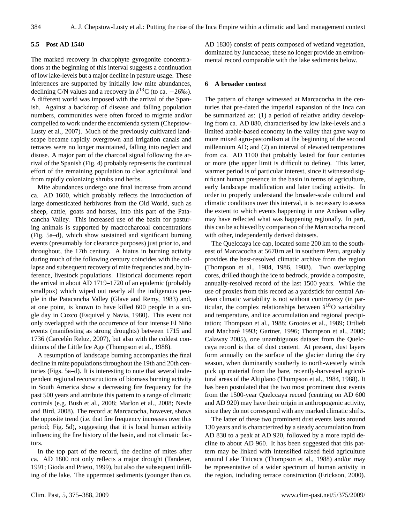## **5.5 Post AD 1540**

The marked recovery in charophyte gyrogonite concentrations at the beginning of this interval suggests a continuation of low lake-levels but a major decline in pasture usage. These inferences are supported by initially low mite abundances, declining C/N values and a recovery in  $\delta^{13}$ C (to ca.  $-26\%$ ). A different world was imposed with the arrival of the Spanish. Against a backdrop of disease and falling population numbers, communities were often forced to migrate and/or compelled to work under the encomienda system (Chepstow-Lusty et al., 2007). Much of the previously cultivated landscape became rapidly overgrown and irrigation canals and terraces were no longer maintained, falling into neglect and disuse. A major part of the charcoal signal following the arrival of the Spanish (Fig. 4) probably represents the continual effort of the remaining population to clear agricultural land from rapidly colonizing shrubs and herbs.

Mite abundances undergo one final increase from around ca. AD 1600, which probably reflects the introduction of large domesticated herbivores from the Old World, such as sheep, cattle, goats and horses, into this part of the Patacancha Valley. This increased use of the basin for pasturing animals is supported by macrocharcoal concentrations (Fig. 5a–d), which show sustained and significant burning events (presumably for clearance purposes) just prior to, and throughout, the 17th century. A hiatus in burning activity during much of the following century coincides with the collapse and subsequent recovery of mite frequencies and, by inference, livestock populations. Historical documents report the arrival in about AD 1719–1720 of an epidemic (probably smallpox) which wiped out nearly all the indigenous people in the Patacancha Valley (Glave and Remy, 1983) and, at one point, is known to have killed 600 people in a single day in Cuzco (Esquivel y Navia, 1980). This event not only overlapped with the occurrence of four intense El Niño events (manifesting as strong droughts) between 1715 and 1736 (Carcelén Reluz, 2007), but also with the coldest conditions of the Little Ice Age (Thompson et al., 1988).

A resumption of landscape burning accompanies the final decline in mite populations throughout the 19th and 20th centuries (Figs. 5a–d). It is interesting to note that several independent regional reconstructions of biomass burning activity in South America show a decreasing fire frequency for the past 500 years and attribute this pattern to a range of climatic controls (e.g. Bush et al., 2008; Marlon et al., 2008; Nevle and Bird, 2008). The record at Marcacocha, however, shows the opposite trend (i.e. that fire frequency increases over this period; Fig. 5d), suggesting that it is local human activity influencing the fire history of the basin, and not climatic factors.

In the top part of the record, the decline of mites after ca. AD 1800 not only reflects a major drought (Tandeter, 1991; Gioda and Prieto, 1999), but also the subsequent infilling of the lake. The uppermost sediments (younger than ca. AD 1830) consist of peats composed of wetland vegetation, dominated by Juncaceae; these no longer provide an environmental record comparable with the lake sediments below.

#### **6 A broader context**

The pattern of change witnessed at Marcacocha in the centuries that pre-dated the imperial expansion of the Inca can be summarized as: (1) a period of relative aridity developing from ca. AD 880, characterised by low lake-levels and a limited arable-based economy in the valley that gave way to more mixed agro-pastoralism at the beginning of the second millennium AD; and (2) an interval of elevated temperatures from ca. AD 1100 that probably lasted for four centuries or more (the upper limit is difficult to define). This latter, warmer period is of particular interest, since it witnessed significant human presence in the basin in terms of agriculture, early landscape modification and later trading activity. In order to properly understand the broader-scale cultural and climatic conditions over this interval, it is necessary to assess the extent to which events happening in one Andean valley may have reflected what was happening regionally. In part, this can be achieved by comparison of the Marcacocha record with other, independently derived datasets.

The Quelccaya ice cap, located some 200 km to the southeast of Marcacocha at 5670 m asl in southern Peru, arguably provides the best-resolved climatic archive from the region (Thompson et al., 1984, 1986, 1988). Two overlapping cores, drilled though the ice to bedrock, provide a composite, annually-resolved record of the last 1500 years. While the use of proxies from this record as a yardstick for central Andean climatic variability is not without controversy (in particular, the complex relationships between  $\delta^{18}$ O variability and temperature, and ice accumulation and regional precipitation; Thompson et al., 1988; Grootes et al., 1989; Ortlieb and Macharé 1993; Gartner, 1996; Thompson et al., 2000; Calaway 2005), one unambiguous dataset from the Quelccaya record is that of dust content. At present, dust layers form annually on the surface of the glacier during the dry season, when dominantly southerly to north-westerly winds pick up material from the bare, recently-harvested agricultural areas of the Altiplano (Thompson et al., 1984, 1988). It has been postulated that the two most prominent dust events from the 1500-year Quelccaya record (centring on AD 600 and AD 920) may have their origin in anthropogenic activity, since they do not correspond with any marked climatic shifts.

The latter of these two prominent dust events lasts around 130 years and is characterized by a steady accumulation from AD 830 to a peak at AD 920, followed by a more rapid decline to about AD 960. It has been suggested that this pattern may be linked with intensified raised field agriculture around Lake Titicaca (Thompson et al., 1988) and/or may be representative of a wider spectrum of human activity in the region, including terrace construction (Erickson, 2000).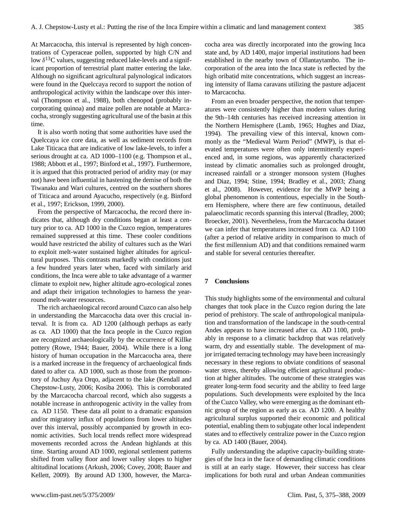At Marcacocha, this interval is represented by high concentrations of Cyperaceae pollen, supported by high C/N and low  $\delta^{13}$ C values, suggesting reduced lake-levels and a significant proportion of terrestrial plant matter entering the lake. Although no significant agricultural palynological indicators were found in the Quelccaya record to support the notion of anthropological activity within the landscape over this interval (Thompson et al., 1988), both chenopod (probably incorporating quinoa) and maize pollen are notable at Marcacocha, strongly suggesting agricultural use of the basin at this time.

It is also worth noting that some authorities have used the Quelccaya ice core data, as well as sediment records from Lake Titicaca that are indicative of low lake-levels, to infer a serious drought at ca. AD 1000–1100 (e.g. Thompson et al., 1988; Abbott et al., 1997; Binford et al., 1997). Furthermore, it is argued that this protracted period of aridity may (or may not) have been influential in hastening the demise of both the Tiwanaku and Wari cultures, centred on the southern shores of Titicaca and around Ayacucho, respectively (e.g. Binford et al., 1997; Erickson, 1999, 2000).

From the perspective of Marcacocha, the record there indicates that, although dry conditions began at least a century prior to ca. AD 1000 in the Cuzco region, temperatures remained suppressed at this time. These cooler conditions would have restricted the ability of cultures such as the Wari to exploit melt-water sustained higher altitudes for agricultural purposes. This contrasts markedly with conditions just a few hundred years later when, faced with similarly arid conditions, the Inca were able to take advantage of a warmer climate to exploit new, higher altitude agro-ecological zones and adapt their irrigation technologies to harness the yearround melt-water resources.

The rich archaeological record around Cuzco can also help in understanding the Marcacocha data over this crucial interval. It is from ca. AD 1200 (although perhaps as early as ca. AD 1000) that the Inca people in the Cuzco region are recognized archaeologically by the occurrence of Killke pottery (Rowe, 1944; Bauer, 2004). While there is a long history of human occupation in the Marcacocha area, there is a marked increase in the frequency of archaeological finds dated to after ca. AD 1000, such as those from the promontory of Juchuy Aya Orqo, adjacent to the lake (Kendall and Chepstow-Lusty, 2006; Kosiba 2006). This is corroborated by the Marcacocha charcoal record, which also suggests a notable increase in anthropogenic activity in the valley from ca. AD 1150. These data all point to a dramatic expansion and/or migratory influx of populations from lower altitudes over this interval, possibly accompanied by growth in economic activities. Such local trends reflect more widespread movements recorded across the Andean highlands at this time. Starting around AD 1000, regional settlement patterns shifted from valley floor and lower valley slopes to higher altitudinal locations (Arkush, 2006; Covey, 2008; Bauer and Kellett, 2009). By around AD 1300, however, the Marcacocha area was directly incorporated into the growing Inca state and, by AD 1400, major imperial institutions had been established in the nearby town of Ollantaytambo. The incorporation of the area into the Inca state is reflected by the high oribatid mite concentrations, which suggest an increasing intensity of llama caravans utilizing the pasture adjacent to Marcacocha.

From an even broader perspective, the notion that temperatures were consistently higher than modern values during the 9th–14th centuries has received increasing attention in the Northern Hemisphere (Lamb, 1965; Hughes and Diaz, 1994). The prevailing view of this interval, known commonly as the "Medieval Warm Period" (MWP), is that elevated temperatures were often only intermittently experienced and, in some regions, was apparently characterized instead by climatic anomalies such as prolonged drought, increased rainfall or a stronger monsoon system (Hughes and Diaz, 1994; Stine, 1994; Bradley et al., 2003; Zhang et al., 2008). However, evidence for the MWP being a global phenomenon is contentious, especially in the Southern Hemisphere, where there are few continuous, detailed palaeoclimatic records spanning this interval (Bradley, 2000; Broecker, 2001). Nevertheless, from the Marcacocha dataset we can infer that temperatures increased from ca. AD 1100 (after a period of relative aridity in comparison to much of the first millennium AD) and that conditions remained warm and stable for several centuries thereafter.

## **7 Conclusions**

This study highlights some of the environmental and cultural changes that took place in the Cuzco region during the late period of prehistory. The scale of anthropological manipulation and transformation of the landscape in the south-central Andes appears to have increased after ca. AD 1100, probably in response to a climatic backdrop that was relatively warm, dry and essentially stable. The development of major irrigated terracing technology may have been increasingly necessary in these regions to obviate conditions of seasonal water stress, thereby allowing efficient agricultural production at higher altitudes. The outcome of these strategies was greater long-term food security and the ability to feed large populations. Such developments were exploited by the Inca of the Cuzco Valley, who were emerging as the dominant ethnic group of the region as early as ca. AD 1200. A healthy agricultural surplus supported their economic and political potential, enabling them to subjugate other local independent states and to effectively centralize power in the Cuzco region by ca. AD 1400 (Bauer, 2004).

Fully understanding the adaptive capacity-building strategies of the Inca in the face of demanding climatic conditions is still at an early stage. However, their success has clear implications for both rural and urban Andean communities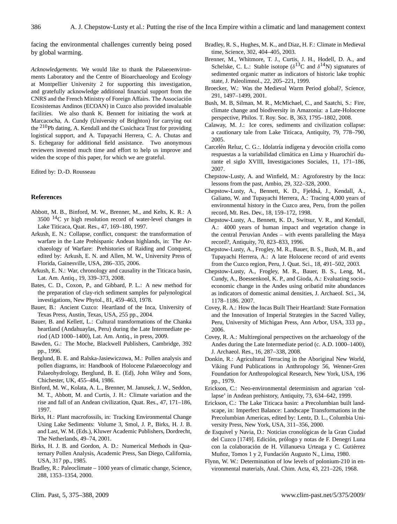facing the environmental challenges currently being posed by global warming.

*Acknowledgements.* We would like to thank the Palaeoenvironments Laboratory and the Centre of Bioarchaeology and Ecology at Montpellier University 2 for supporting this investigation, and gratefully acknowledge additional financial support from the CNRS and the French Ministry of Foreign Affairs. The Associacion´ Ecosistemas Andinos (ECOAN) in Cuzco also provided invaluable facilities. We also thank K. Bennett for initiating the work at Marcacocha, A. Cundy (University of Brighton) for carrying out the <sup>210</sup>Pb dating, A. Kendall and the Cusichaca Trust for providing logistical support, and A. Tupayachi Herrera, C. A. Chutas and S. Echegaray for additional field assistance. Two anonymous reviewers invested much time and effort to help us improve and widen the scope of this paper, for which we are grateful.

Edited by: D.-D. Rousseau

#### **References**

- Abbott, M. B., Binford, M. W., Brenner, M., and Kelts, K. R.: A 3500 <sup>14</sup>C yr high resolution record of water-level changes in Lake Titicaca, Quat. Res., 47, 169–180, 1997.
- Arkush, E. N.: Collapse, conflict, conquest: the transformation of warfare in the Late Prehispanic Andean highlands, in: The Archaeology of Warfare: Prehistories of Raiding and Conquest, edited by: Arkush, E. N. and Allen, M. W., University Press of Florida, Gainesville, USA, 286–335, 2006.
- Arkush, E. N.: War, chronology and causality in the Titicaca basin, Lat. Am. Antiq., 19, 339–373, 2008.
- Bates, C. D., Coxon, P., and Gibbard, P. L.: A new method for the preparation of clay-rich sediment samples for palynological investigations, New Phytol., 81, 459–463, 1978.
- Bauer, B.: Ancient Cuzco: Heartland of the Inca, University of Texas Press, Austin, Texas, USA, 255 pp., 2004.
- Bauer, B. and Kellett, L.: Cultural transformations of the Chanka heartland (Andahuaylas, Peru) during the Late Intermediate period (AD 1000–1400), Lat. Am. Antiq., in press, 2009.
- Bawden, G.: The Moche, Blackwell Publishers, Cambridge, 392 pp., 1996.
- Berglund, B. E. and Ralska-Jasiewiczowa, M.: Pollen analysis and pollen diagrams, in: Handbook of Holocene Palaeoecology and Palaeohydrology, Berglund, B. E. (Ed), John Wiley and Sons, Chichester, UK, 455–484, 1986.
- Binford, M. W., Kolata, A. L., Brenner, M. Janusek, J. W., Seddon, M. T., Abbott, M. and Curtis, J. H.: Climate variation and the rise and fall of an Andean civilization, Quat. Res., 47, 171–186, 1997.
- Birks, H.: Plant macrofossils, in: Tracking Environmental Change Using Lake Sediments: Volume 3, Smol, J. P., Birks, H. J. B. and Last, W. M. (Eds.), Kluwer Academic Publishers, Dordrecht, The Netherlands, 49–74, 2001.
- Birks, H. J. B. and Gordon, A. D.: Numerical Methods in Quaternary Pollen Analysis, Academic Press, San Diego, California, USA, 317 pp., 1985.
- Bradley, R.: Paleoclimate 1000 years of climatic change, Science, 288, 1353–1354, 2000.
- Bradley, R. S., Hughes, M. K., and Diaz, H. F.: Climate in Medieval time, Science, 302, 404–405, 2003.
- Brenner, M., Whitmore, T. J., Curtis, J. H., Hodell, D. A., and Schelske, C. L.: Stable isotope ( $\delta^{13}$ C and  $\delta^{14}$ N) signatures of sedimented organic matter as indicators of historic lake trophic state, J. Paleolimnol., 22, 205–221, 1999.
- Broecker, W.: Was the Medieval Warm Period global?, Science, 291, 1497–1499, 2001.
- Bush, M. B, Silman, M. R., McMichael, C., and Saatchi, S.: Fire, climate change and biodiversity in Amazonia: a Late-Holocene perspective, Philos. T. Roy. Soc. B, 363, 1795–1802, 2008.
- Calaway, M. J.: Ice cores, sediments and civilization collapse: a cautionary tale from Lake Titicaca, Antiquity, 79, 778–790, 2005.
- Carcelén Reluz, C. G.:. Idolatría indígena y devoción criolla como respuestas a la variabilidad climática en Lima y Huarochirí durante el siglo XVIII, Investigaciones Sociales, 11, 171–186, 2007.
- Chepstow-Lusty, A. and Winfield, M.: Agroforestry by the Inca: lessons from the past, Ambio, 29, 322–328, 2000.
- Chepstow-Lusty, A., Bennett, K. D., Fjeldså, J., Kendall, A., Galiano, W. and Tupayachi Herrera, A.: Tracing 4,000 years of environmental history in the Cuzco area, Peru, from the pollen record, Mt. Res. Dev., 18, 159–172, 1998.
- Chepstow-Lusty, A., Bennett, K. D., Switsur, V. R., and Kendall, A.: 4000 years of human impact and vegetation change in the central Peruvian Andes – with events paralleling the Maya record?, Antiquity, 70, 823–833, 1996.
- Chepstow-Lusty, A., Frogley, M. R., Bauer, B. S., Bush, M. B., and Tupayachi Herrera, A.: A late Holocene record of arid events from the Cuzco region, Peru, J. Quat. Sci., 18, 491–502, 2003.
- Chepstow-Lusty, A., Frogley, M. R., Bauer, B. S., Leng, M., Cundy, A., Boessenkool, K. P., and Gioda, A.: Evaluating socioeconomic change in the Andes using oribatid mite abundances as indicators of domestic animal densities, J. Archaeol. Sci., 34, 1178–1186. 2007.
- Covey, R. A.: How the Incas Built Their Heartland: State Formation and the Innovation of Imperial Strategies in the Sacred Valley, Peru, University of Michigan Press, Ann Arbor, USA, 333 pp., 2006.
- Covey, R. A.: Multiregional perspectives on the archaeology of the Andes during the Late Intermediate period (c. A.D. 1000–1400), J. Archaeol. Res., 16, 287–338, 2008.
- Donkin, R.: Agricultural Terracing in the Aboriginal New World, Viking Fund Publications in Anthropology 56, Wenner-Gren Foundation for Anthropological Research, New York, USA, 196 pp., 1979.
- Erickson, C.: Neo-environmental determinism and agrarian 'collapse' in Andean prehistory, Antiquity, 73, 634–642, 1999.
- Erickson, C.: The Lake Titicaca basin: a Precolumbian built landscape, in: Imperfect Balance: Landscape Transformations in the Precolumbian Americas, edited by: Lentz, D. L., Columbia University Press, New York, USA, 311–356, 2000.
- de Esquivel y Navia, D.: Noticias cronológicas de la Gran Ciudad del Cuzco [1749]. Edición, prólogo y notas de F. Denegri Luna con la colaboración de H. Villanueva Urteaga y C. Gutiérrez Muñoz, Tomos 1 y 2, Fundación Augusto N., Lima, 1980.
- Flynn, W. W.: Determination of low levels of polonium-210 in environmental materials, Anal. Chim. Acta, 43, 221–226, 1968.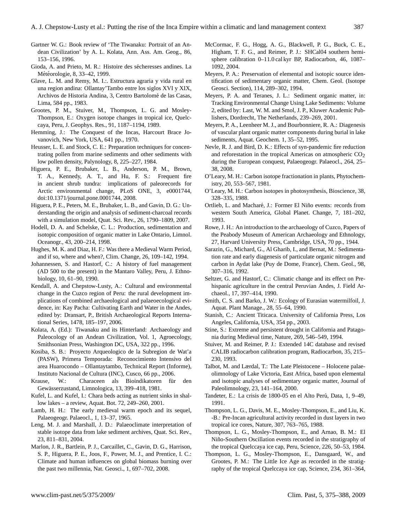- Gartner W. G.: Book review of 'The Tiwanaku: Portrait of an Andean Civilization' by A. L. Kolata, Ann. Ass. Am. Geog., 86, 153–156, 1996.
- Gioda, A. and Prieto, M. R.: Histoire des sécheresses andines. La Météorologie, 8, 33-42, 1999.
- Glave, L. M. and Remy, M. I.:. Estructura agraria y vida rural en una region andina: Ollantay'Tambo entre los siglos XVI y XIX, Archivos de Historia Andina, 3, Centro Bartolome de las Casas, ´ Lima, 584 pp., 1983.
- Grootes, P. M., Stuiver, M., Thompson, L. G. and Mosley-Thompson, E.: Oxygen isotope changes in tropical ice, Quelccaya, Peru, J. Geophys. Res., 91, 1187–1194, 1989.
- Hemming, J.: The Conquest of the Incas, Harcourt Brace Jovanovich, New York, USA, 641 pp., 1970.
- Heusser, L. E. and Stock, C. E.: Preparation techniques for concentrating pollen from marine sediments and other sediments with low pollen density, Palynology, 8, 225–227, 1984.
- Higuera, P. E., Brubaker, L. B., Anderson, P. M., Brown, T. A., Kennedy, A. T., and Hu, F. S.: Frequent fire in ancient shrub tundra: implications of paleorecords for Arctic environmental change, PLoS ONE, 3, e0001744, doi:10.1371/journal.pone.0001744, 2008.
- Higuera, P. E., Peters, M. E., Brubaker, L. B., and Gavin, D. G.: Understanding the origin and analysis of sediment-charcoal records with a simulation model, Quat. Sci. Rev., 26, 1790–1809, 2007.
- Hodell, D. A. and Schelske, C. L.: Production, sedimentation and isotopic composition of organic matter in Lake Ontario, Limnol. Oceanogr., 43, 200–214, 1998.
- Hughes, M. K. and Diaz, H. F.: Was there a Medieval Warm Period, and if so, where and when?, Clim. Change, 26, 109–142, 1994.
- Johannessen, S. and Hastorf, C.: A history of fuel management (AD 500 to the present) in the Mantaro Valley, Peru, J. Ethnobiology, 10, 61–90, 1990.
- Kendall, A. and Chepstow-Lusty, A.: Cultural and environmental change in the Cuzco region of Peru: the rural development implications of combined archaeological and palaeoecological evidence, in: Kay Pacha: Cultivating Earth and Water in the Andes, edited by: Dransart, P., British Archaeological Reports International Series, 1478, 185–197, 2006.
- Kolata, A. (Ed.): Tiwanaku and its Hinterland: Archaeology and Paleocology of an Andean Civilization, Vol. 1, Agroecology, Smithsonian Press, Washington DC, USA, 322 pp., 1996.
- Kosiba, S. B.: Proyecto Arqueologico de la Subregion de Wat'a (PASW), Primera Temporada: Reconocimiento Intensivo del area Huarocondo – Ollantaytambo, Technical Report (Informe), Instituto Nacional de Cultura (INC), Cusco, 66 pp., 2006.
- Krause, W.: Characeen als Bioindikatoren für den Gewässerzustand, Limnologica, 13, 399-418, 1981.
- Kufel, L. and Kufel, I.: Chara beds acting as nutrient sinks in shallow lakes – a review, Aquat. Bot. 72, 249–260, 2001.
- Lamb, H. H.: The early medieval warm epoch and its sequel, Palaeogeogr. Palaeocl., 1, 13–37, 1965.
- Leng, M. J. and Marshall, J. D.: Palaeoclimate interpretation of stable isotope data from lake sediment archives, Quat. Sci. Rev., 23, 811–831, 2004.
- Marlon, J. R., Bartlein, P. J., Carcaillet, C., Gavin, D. G., Harrison, S. P., Higuera, P. E., Joos, F., Power, M. J., and Prentice, I. C.: Climate and human influences on global biomass burning over the past two millennia, Nat. Geosci., 1, 697–702, 2008.
- McCormac, F. G., Hogg, A. G., Blackwell, P. G., Buck, C. E., Higham, T. F. G., and Reimer, P. J.: SHCal04 southern hemisphere calibration 0–11.0 cal kyr BP, Radiocarbon, 46, 1087– 1092, 2004.
- Meyers, P. A.: Preservation of elemental and isotopic source identification of sedimentary organic matter, Chem. Geol. (Isotope Geosci. Section), 114, 289–302, 1994.
- Meyers, P. A. and Teranes, J. L.: Sediment organic matter, in: Tracking Environmental Change Using Lake Sediments: Volume 2, edited by: Last, W. M. and Smol, J. P., Kluwer Academic Publishers, Dordrecht, The Netherlands, 239–269, 2001.
- Meyers, P. A., Leenheer M. J., and Bourbonniere, R. A.: Diagenesis of vascular plant organic matter components during burial in lake sediments, Aquat. Geochem. 1, 35–52, 1995.
- Nevle, R. J. and Bird, D. K.: Effects of syn-pandemic fire reduction and reforestation in the tropical Americas on atmospheric  $CO<sub>2</sub>$ during the European conquest, Palaeogeogr. Palaeocl., 264, 25– 38, 2008.
- O'Leary, M. H.: Carbon isotope fractionation in plants, Phytochemistry, 20, 553–567, 1981.
- O'Leary, M. H.: Carbon isotopes in photosynthesis, Bioscience, 38, 328–335, 1988.
- Ortlieb, L. and Macharé, J.: Former El Niño events: records from western South America, Global Planet. Change, 7, 181–202, 1993.
- Rowe, J. H.: An introduction to the archaeology of Cuzco, Papers of the Peabody Museum of American Archaeology and Ethnology, 27, Harvard University Press, Cambridge, USA, 70 pp., 1944.
- Sarazin, G., Michard, G., Al Gharib, I., and Bernat, M.: Sedimentation rate and early diagenesis of particulate organic nitrogen and carbon in Aydat lake (Puy de Dome, France), Chem. Geol., 98, 307–316, 1992.
- Seltzer, G. and Hastorf, C.: Climatic change and its effect on Prehispanic agriculture in the central Peruvian Andes, J. Field Archaeol., 17, 397–414, 1990.
- Smith, C. S. and Barko, J. W.: Ecology of Eurasian watermilfoil, J. Aquat. Plant Manage., 28, 55–64, 1990.
- Stanish, C.: Ancient Titicaca. University of California Press, Los Angeles, California, USA, 354 pp., 2003.
- Stine, S.: Extreme and persistent drought in California and Patagonia during Medieval time, Nature, 269, 546–549, 1994.
- Stuiver, M. and Reimer, P. J.: Extended 14C database and revised CALIB radiocarbon calibration program, Radiocarbon, 35, 215– 230, 1993.
- Talbot, M. and Lærdal, T.: The Late Pleistocene Holocene palaeolimnology of Lake Victoria, East Africa, based upon elemental and isotopic analyses of sedimentary organic matter, Journal of Paleolimnology, 23, 141–164, 2000.
- Tandeter, E.: La crisis de 1800-05 en el Alto Perú, Data, 1, 9-49, 1991.
- Thompson, L. G., Davis, M. E., Mosley-Thompson, E., and Liu, K. -B.: Pre-Incan agricultural activity recorded in dust layers in two tropical ice cores, Nature, 307, 763–765, 1988.
- Thompson, L. G., Mosley-Thompson, E., and Arnao, B. M.: El Niño-Southern Oscillation events recorded in the stratigraphy of the tropical Quelccaya ice cap, Peru, Science, 226, 50–53, 1984.
- Thompson, L. G., Mosley-Thompson, E., Dansgaard, W., and Grootes, P. M.: The Little Ice Age as recorded in the stratigraphy of the tropical Quelccaya ice cap, Science, 234, 361–364,